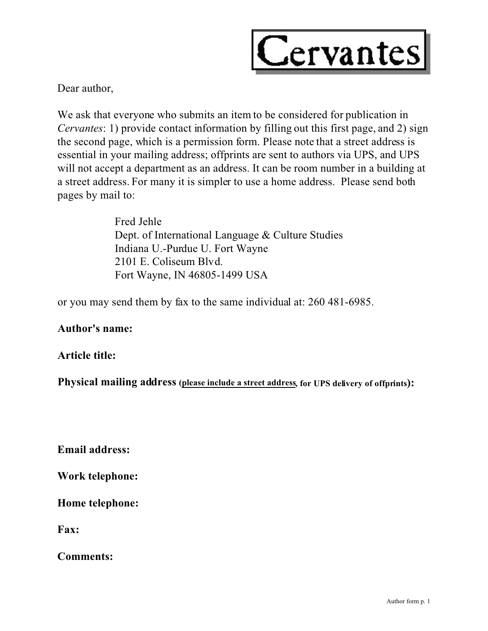

Dear author,

We ask that everyone who submits an item to be considered for publication in *Cervantes*: 1) provide contact information by filling out this first page, and 2) sign the second page, which is a permission form. Please note that a street address is essential in your mailing address; offprints are sent to authors via UPS, and UPS will not accept a department as an address. It can be room number in a building at a street address. For many it is simpler to use a home address. Please send both pages by mail to:

> Fred Jehle Dept. of International Language & Culture Studies Indiana U.-Purdue U. Fort Wayne 2101 E. Coliseum Blvd. Fort Wayne, IN 46805-1499 USA

or you may send them by fax to the same individual at: 260 481-6985.

**Author's name:**

## **Article title:**

**Physical mailing address (please include a street address, for UPS delivery of offprints):**

**Email address:**

**Work telephone:**

**Home telephone:**

**Fax:**

**Comments:**